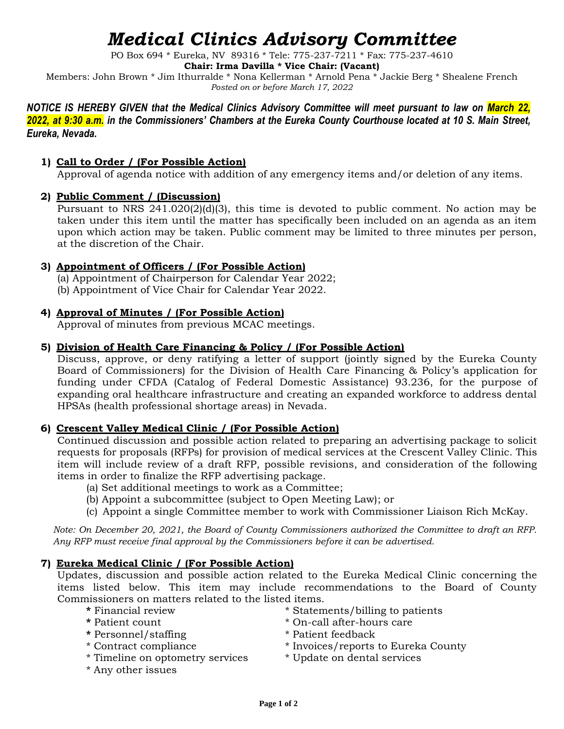# *Medical Clinics Advisory Committee*

PO Box 694 \* Eureka, NV 89316 \* Tele: 775-237-7211 \* Fax: 775-237-4610

**Chair: Irma Davilla \* Vice Chair: (Vacant)**

Members: John Brown \* Jim Ithurralde \* Nona Kellerman \* Arnold Pena \* Jackie Berg \* Shealene French *Posted on or before March 17, 2022*

*NOTICE IS HEREBY GIVEN that the Medical Clinics Advisory Committee will meet pursuant to law on March 22, 2022, at 9:30 a.m. in the Commissioners' Chambers at the Eureka County Courthouse located at 10 S. Main Street, Eureka, Nevada.*

# **1) Call to Order / (For Possible Action)**

Approval of agenda notice with addition of any emergency items and/or deletion of any items.

# **2) Public Comment / (Discussion)**

Pursuant to NRS 241.020(2)(d)(3), this time is devoted to public comment. No action may be taken under this item until the matter has specifically been included on an agenda as an item upon which action may be taken. Public comment may be limited to three minutes per person, at the discretion of the Chair.

## **3) Appointment of Officers / (For Possible Action)**

(a) Appointment of Chairperson for Calendar Year 2022;

(b) Appointment of Vice Chair for Calendar Year 2022.

## **4) Approval of Minutes / (For Possible Action)**

Approval of minutes from previous MCAC meetings.

## **5) Division of Health Care Financing & Policy / (For Possible Action)**

Discuss, approve, or deny ratifying a letter of support (jointly signed by the Eureka County Board of Commissioners) for the Division of Health Care Financing & Policy's application for funding under CFDA (Catalog of Federal Domestic Assistance) 93.236, for the purpose of expanding oral healthcare infrastructure and creating an expanded workforce to address dental HPSAs (health professional shortage areas) in Nevada.

# **6) Crescent Valley Medical Clinic / (For Possible Action)**

Continued discussion and possible action related to preparing an advertising package to solicit requests for proposals (RFPs) for provision of medical services at the Crescent Valley Clinic. This item will include review of a draft RFP, possible revisions, and consideration of the following items in order to finalize the RFP advertising package.

- (a) Set additional meetings to work as a Committee;
- (b) Appoint a subcommittee (subject to Open Meeting Law); or
- (c) Appoint a single Committee member to work with Commissioner Liaison Rich McKay.

*Note: On December 20, 2021, the Board of County Commissioners authorized the Committee to draft an RFP. Any RFP must receive final approval by the Commissioners before it can be advertised.* 

# **7) Eureka Medical Clinic / (For Possible Action)**

Updates, discussion and possible action related to the Eureka Medical Clinic concerning the items listed below. This item may include recommendations to the Board of County Commissioners on matters related to the listed items.

- 
- 
- **\*** Personnel/staffing \* Patient feedback
- 
- \* Timeline on optometry services \* Update on dental services
- \* Any other issues
- **\*** Financial review \* Statements/billing to patients
- **\*** Patient count \* On-call after-hours care
	-
- \* Contract compliance \* Invoices/reports to Eureka County
	-